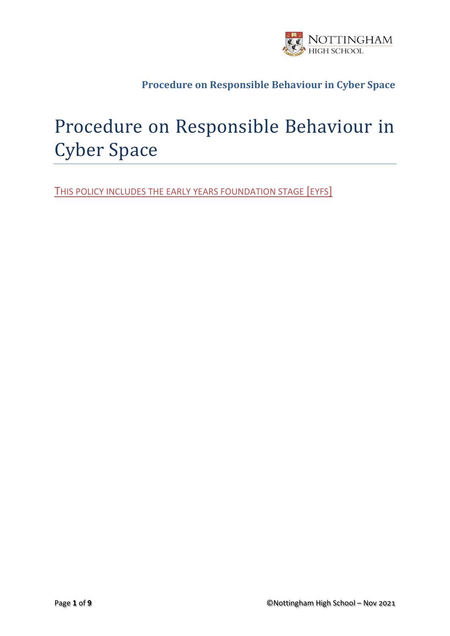

# Procedure on Responsible Behaviour in Cyber Space

THIS POLICY INCLUDES THE EARLY YEARS FOUNDATION STAGE [EYFS]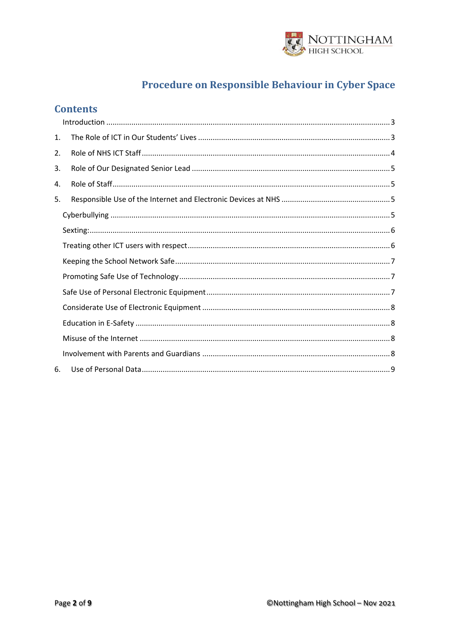

## **Contents**

| 1. |  |
|----|--|
| 2. |  |
| 3. |  |
| 4. |  |
| 5. |  |
|    |  |
|    |  |
|    |  |
|    |  |
|    |  |
|    |  |
|    |  |
|    |  |
|    |  |
|    |  |
| 6. |  |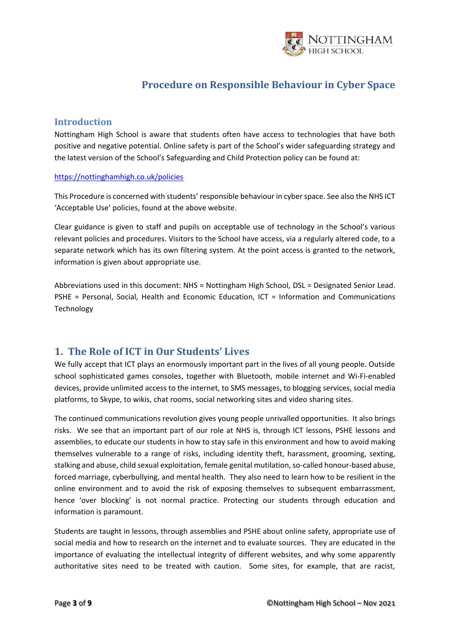

#### <span id="page-2-0"></span>**Introduction**

Nottingham High School is aware that students often have access to technologies that have both positive and negative potential. Online safety is part of the School's wider safeguarding strategy and the latest version of the School's Safeguarding and Child Protection policy can be found at:

#### <https://nottinghamhigh.co.uk/policies>

This Procedure is concerned with students' responsible behaviour in cyber space. See also the NHS ICT 'Acceptable Use' policies, found at the above website.

Clear guidance is given to staff and pupils on acceptable use of technology in the School's various relevant policies and procedures. Visitors to the School have access, via a regularly altered code, to a separate network which has its own filtering system. At the point access is granted to the network, information is given about appropriate use.

Abbreviations used in this document: NHS = Nottingham High School, DSL = Designated Senior Lead. PSHE = Personal, Social, Health and Economic Education, ICT = Information and Communications Technology

## <span id="page-2-1"></span>**1. The Role of ICT in Our Students' Lives**

We fully accept that ICT plays an enormously important part in the lives of all young people. Outside school sophisticated games consoles, together with Bluetooth, mobile internet and Wi-Fi-enabled devices, provide unlimited access to the internet, to SMS messages, to blogging services, social media platforms, to Skype, to wikis, chat rooms, social networking sites and video sharing sites.

The continued communications revolution gives young people unrivalled opportunities. It also brings risks. We see that an important part of our role at NHS is, through ICT lessons, PSHE lessons and assemblies, to educate our students in how to stay safe in this environment and how to avoid making themselves vulnerable to a range of risks, including identity theft, harassment, grooming, sexting, stalking and abuse, child sexual exploitation, female genital mutilation, so-called honour-based abuse, forced marriage, cyberbullying, and mental health. They also need to learn how to be resilient in the online environment and to avoid the risk of exposing themselves to subsequent embarrassment, hence 'over blocking' is not normal practice. Protecting our students through education and information is paramount.

Students are taught in lessons, through assemblies and PSHE about online safety, appropriate use of social media and how to research on the internet and to evaluate sources. They are educated in the importance of evaluating the intellectual integrity of different websites, and why some apparently authoritative sites need to be treated with caution. Some sites, for example, that are racist,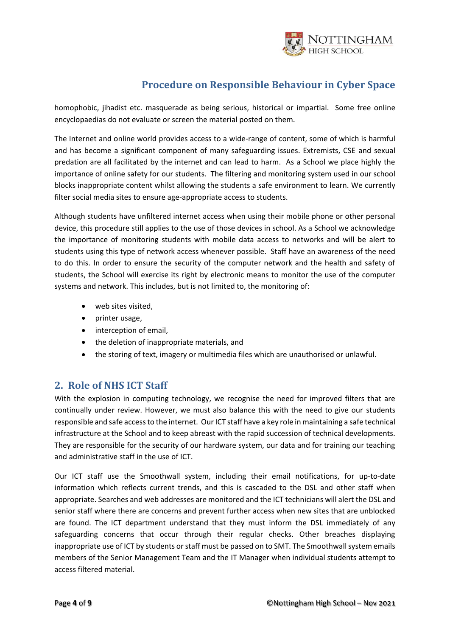

homophobic, jihadist etc. masquerade as being serious, historical or impartial. Some free online encyclopaedias do not evaluate or screen the material posted on them.

The Internet and online world provides access to a wide-range of content, some of which is harmful and has become a significant component of many safeguarding issues. Extremists, CSE and sexual predation are all facilitated by the internet and can lead to harm. As a School we place highly the importance of online safety for our students. The filtering and monitoring system used in our school blocks inappropriate content whilst allowing the students a safe environment to learn. We currently filter social media sites to ensure age-appropriate access to students.

Although students have unfiltered internet access when using their mobile phone or other personal device, this procedure still applies to the use of those devices in school. As a School we acknowledge the importance of monitoring students with mobile data access to networks and will be alert to students using this type of network access whenever possible. Staff have an awareness of the need to do this. In order to ensure the security of the computer network and the health and safety of students, the School will exercise its right by electronic means to monitor the use of the computer systems and network. This includes, but is not limited to, the monitoring of:

- web sites visited,
- printer usage,
- interception of email,
- the deletion of inappropriate materials, and
- the storing of text, imagery or multimedia files which are unauthorised or unlawful.

## <span id="page-3-0"></span>**2. Role of NHS ICT Staff**

With the explosion in computing technology, we recognise the need for improved filters that are continually under review. However, we must also balance this with the need to give our students responsible and safe access to the internet. Our ICT staff have a key role in maintaining a safe technical infrastructure at the School and to keep abreast with the rapid succession of technical developments. They are responsible for the security of our hardware system, our data and for training our teaching and administrative staff in the use of ICT.

Our ICT staff use the Smoothwall system, including their email notifications, for up-to-date information which reflects current trends, and this is cascaded to the DSL and other staff when appropriate. Searches and web addresses are monitored and the ICT technicians will alert the DSL and senior staff where there are concerns and prevent further access when new sites that are unblocked are found. The ICT department understand that they must inform the DSL immediately of any safeguarding concerns that occur through their regular checks. Other breaches displaying inappropriate use of ICT by students or staff must be passed on to SMT. The Smoothwall system emails members of the Senior Management Team and the IT Manager when individual students attempt to access filtered material.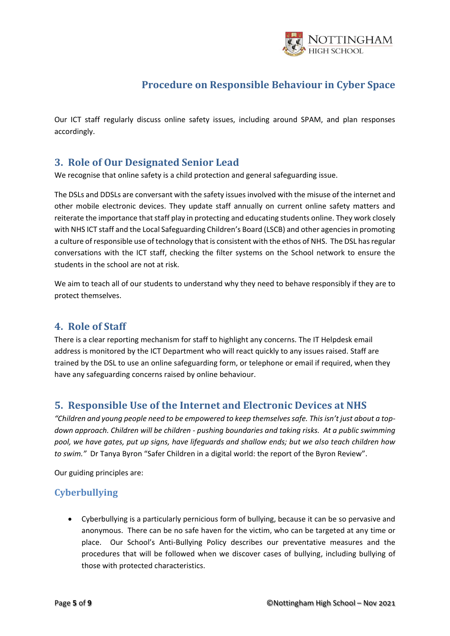

Our ICT staff regularly discuss online safety issues, including around SPAM, and plan responses accordingly.

## <span id="page-4-0"></span>**3. Role of Our Designated Senior Lead**

We recognise that online safety is a child protection and general safeguarding issue.

The DSLs and DDSLs are conversant with the safety issues involved with the misuse of the internet and other mobile electronic devices. They update staff annually on current online safety matters and reiterate the importance that staff play in protecting and educating students online. They work closely with NHS ICT staff and the Local Safeguarding Children's Board (LSCB) and other agencies in promoting a culture of responsible use of technology that is consistent with the ethos of NHS. The DSL has regular conversations with the ICT staff, checking the filter systems on the School network to ensure the students in the school are not at risk.

We aim to teach all of our students to understand why they need to behave responsibly if they are to protect themselves.

## <span id="page-4-1"></span>**4. Role of Staff**

There is a clear reporting mechanism for staff to highlight any concerns. The IT Helpdesk email address is monitored by the ICT Department who will react quickly to any issues raised. Staff are trained by the DSL to use an online safeguarding form, or telephone or email if required, when they have any safeguarding concerns raised by online behaviour.

## <span id="page-4-2"></span>**5. Responsible Use of the Internet and Electronic Devices at NHS**

*"Children and young people need to be empowered to keep themselves safe. This isn't just about a topdown approach. Children will be children - pushing boundaries and taking risks. At a public swimming pool, we have gates, put up signs, have lifeguards and shallow ends; but we also teach children how to swim."* Dr Tanya Byron "Safer Children in a digital world: the report of the Byron Review".

Our guiding principles are:

## <span id="page-4-3"></span>**Cyberbullying**

• Cyberbullying is a particularly pernicious form of bullying, because it can be so pervasive and anonymous. There can be no safe haven for the victim, who can be targeted at any time or place. Our School's Anti-Bullying Policy describes our preventative measures and the procedures that will be followed when we discover cases of bullying, including bullying of those with protected characteristics.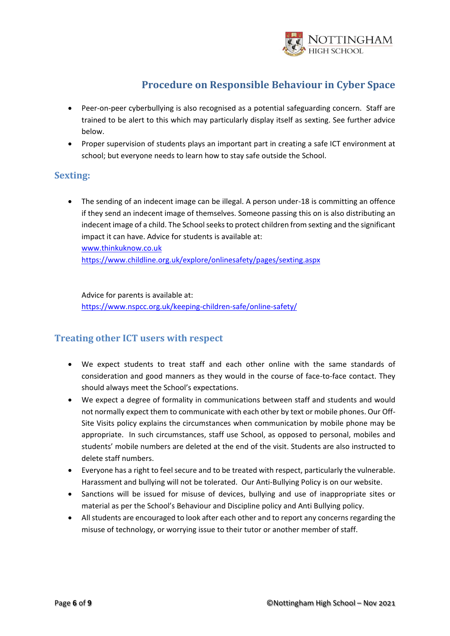

- Peer-on-peer cyberbullying is also recognised as a potential safeguarding concern. Staff are trained to be alert to this which may particularly display itself as sexting. See further advice below.
- Proper supervision of students plays an important part in creating a safe ICT environment at school; but everyone needs to learn how to stay safe outside the School.

#### <span id="page-5-0"></span>**Sexting:**

• The sending of an indecent image can be illegal. A person under-18 is committing an offence if they send an indecent image of themselves. Someone passing this on is also distributing an indecent image of a child. The School seeks to protect children from sexting and the significant impact it can have. Advice for students is available at: [www.thinkuknow.co.uk](http://www.thinkuknow.co.uk/) <https://www.childline.org.uk/explore/onlinesafety/pages/sexting.aspx>

Advice for parents is available at: <https://www.nspcc.org.uk/keeping-children-safe/online-safety/>

#### <span id="page-5-1"></span>**Treating other ICT users with respect**

- We expect students to treat staff and each other online with the same standards of consideration and good manners as they would in the course of face-to-face contact. They should always meet the School's expectations.
- We expect a degree of formality in communications between staff and students and would not normally expect them to communicate with each other by text or mobile phones. Our Off-Site Visits policy explains the circumstances when communication by mobile phone may be appropriate. In such circumstances, staff use School, as opposed to personal, mobiles and students' mobile numbers are deleted at the end of the visit. Students are also instructed to delete staff numbers.
- Everyone has a right to feel secure and to be treated with respect, particularly the vulnerable. Harassment and bullying will not be tolerated. Our Anti-Bullying Policy is on our website.
- Sanctions will be issued for misuse of devices, bullying and use of inappropriate sites or material as per the School's Behaviour and Discipline policy and Anti Bullying policy.
- All students are encouraged to look after each other and to report any concerns regarding the misuse of technology, or worrying issue to their tutor or another member of staff.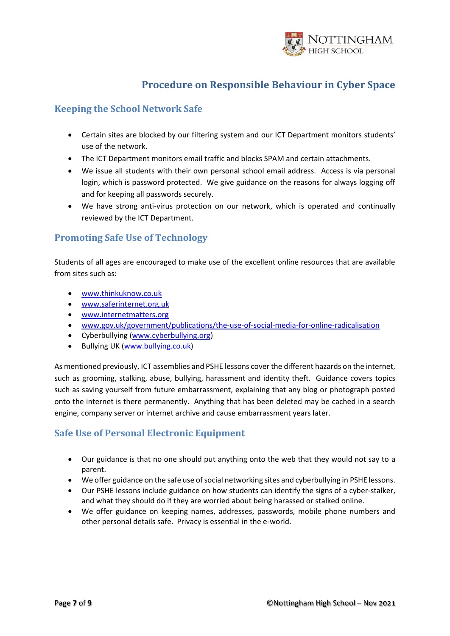

## <span id="page-6-0"></span>**Keeping the School Network Safe**

- Certain sites are blocked by our filtering system and our ICT Department monitors students' use of the network.
- The ICT Department monitors email traffic and blocks SPAM and certain attachments.
- We issue all students with their own personal school email address. Access is via personal login, which is password protected. We give guidance on the reasons for always logging off and for keeping all passwords securely.
- We have strong anti-virus protection on our network, which is operated and continually reviewed by the ICT Department.

## <span id="page-6-1"></span>**Promoting Safe Use of Technology**

Students of all ages are encouraged to make use of the excellent online resources that are available from sites such as:

- [www.thinkuknow.co.uk](http://www.thinkuknow.co.uk/)
- [www.saferinternet.org.uk](http://www.saferinternet.org.uk/)
- [www.internetmatters.org](http://www.internetmatters.org/)
- [www.gov.uk/government/publications/the-use-of-social-media-for-online-radicalisation](http://www.gov.uk/government/publications/the-use-of-social-media-for-online-radicalisation)
- Cyberbullying [\(www.cyberbullying.org\)](http://www.cyberbullying.org/)
- Bullying UK [\(www.bullying.co.uk\)](http://www.bullying.co.uk/)

As mentioned previously, ICT assemblies and PSHE lessons cover the different hazards on the internet, such as grooming, stalking, abuse, bullying, harassment and identity theft. Guidance covers topics such as saving yourself from future embarrassment, explaining that any blog or photograph posted onto the internet is there permanently. Anything that has been deleted may be cached in a search engine, company server or internet archive and cause embarrassment years later.

## <span id="page-6-2"></span>**Safe Use of Personal Electronic Equipment**

- Our guidance is that no one should put anything onto the web that they would not say to a parent.
- We offer guidance on the safe use of social networking sites and cyberbullying in PSHE lessons.
- Our PSHE lessons include guidance on how students can identify the signs of a cyber-stalker, and what they should do if they are worried about being harassed or stalked online.
- We offer guidance on keeping names, addresses, passwords, mobile phone numbers and other personal details safe. Privacy is essential in the e-world.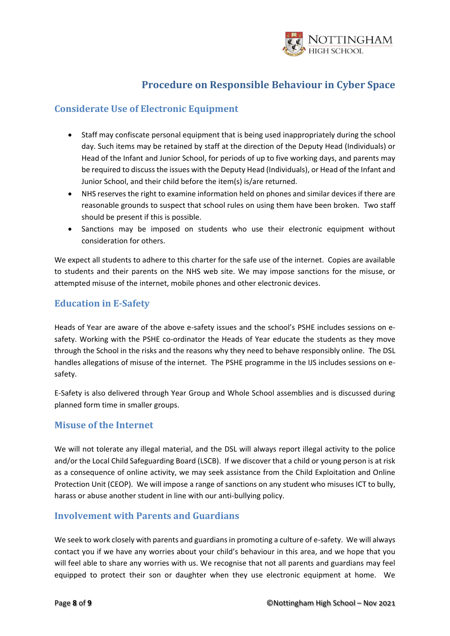

#### <span id="page-7-0"></span>**Considerate Use of Electronic Equipment**

- Staff may confiscate personal equipment that is being used inappropriately during the school day. Such items may be retained by staff at the direction of the Deputy Head (Individuals) or Head of the Infant and Junior School, for periods of up to five working days, and parents may be required to discuss the issues with the Deputy Head (Individuals), or Head of the Infant and Junior School, and their child before the item(s) is/are returned.
- NHS reserves the right to examine information held on phones and similar devices if there are reasonable grounds to suspect that school rules on using them have been broken. Two staff should be present if this is possible.
- Sanctions may be imposed on students who use their electronic equipment without consideration for others.

We expect all students to adhere to this charter for the safe use of the internet. Copies are available to students and their parents on the NHS web site. We may impose sanctions for the misuse, or attempted misuse of the internet, mobile phones and other electronic devices.

#### <span id="page-7-1"></span>**Education in E-Safety**

Heads of Year are aware of the above e-safety issues and the school's PSHE includes sessions on esafety. Working with the PSHE co-ordinator the Heads of Year educate the students as they move through the School in the risks and the reasons why they need to behave responsibly online. The DSL handles allegations of misuse of the internet. The PSHE programme in the IJS includes sessions on esafety.

E-Safety is also delivered through Year Group and Whole School assemblies and is discussed during planned form time in smaller groups.

#### <span id="page-7-2"></span>**Misuse of the Internet**

We will not tolerate any illegal material, and the DSL will always report illegal activity to the police and/or the Local Child Safeguarding Board (LSCB). If we discover that a child or young person is at risk as a consequence of online activity, we may seek assistance from the Child Exploitation and Online Protection Unit (CEOP). We will impose a range of sanctions on any student who misuses ICT to bully, harass or abuse another student in line with our anti-bullying policy.

#### <span id="page-7-3"></span>**Involvement with Parents and Guardians**

We seek to work closely with parents and guardians in promoting a culture of e-safety. We will always contact you if we have any worries about your child's behaviour in this area, and we hope that you will feel able to share any worries with us. We recognise that not all parents and guardians may feel equipped to protect their son or daughter when they use electronic equipment at home. We